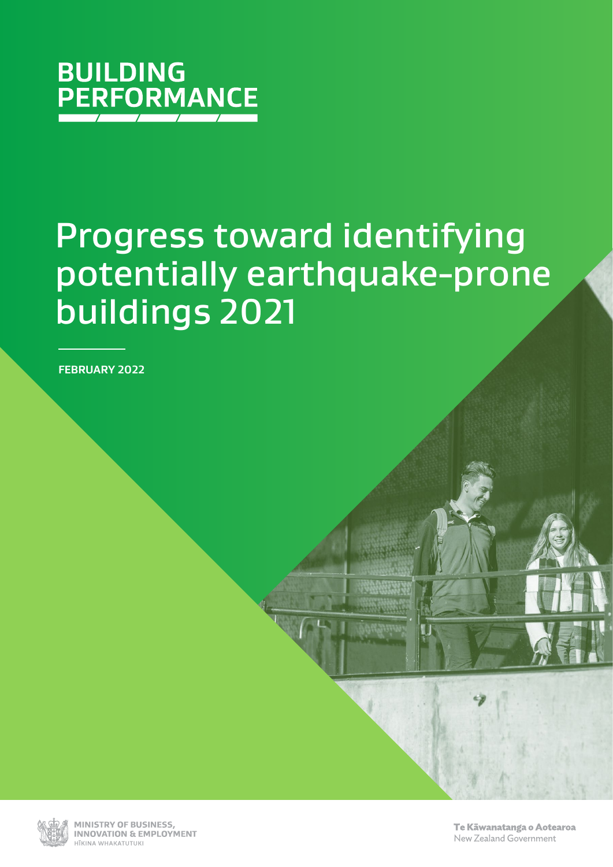

# Progress toward identifying potentially earthquake-prone buildings 2021

**FEBRUARY 2022**



MINISTRY OF BUSINESS. **INNOVATION & EMPLOYMENT** HĪKINA WHAKATIITIIKI

Te Kāwanatanga o Aotearoa New Zealand Government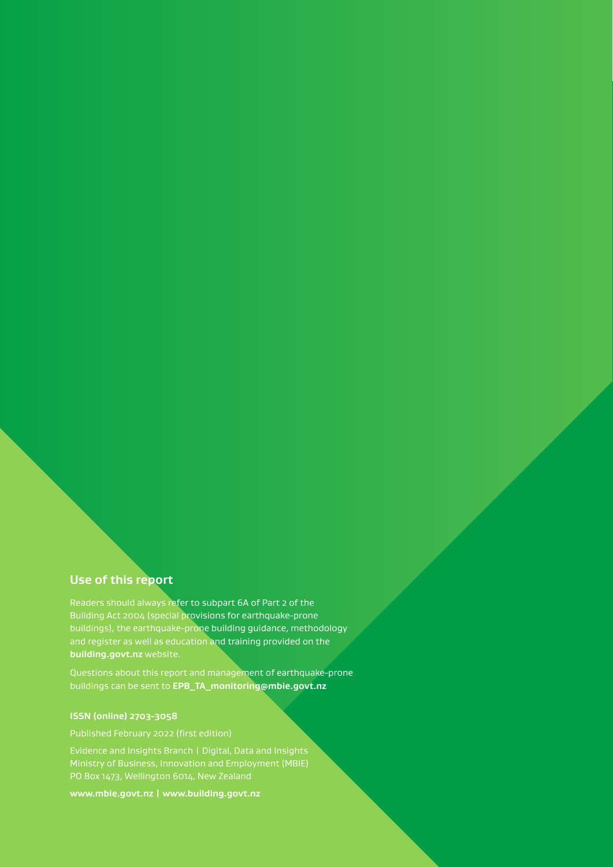### **Use of this report**

Readers should always refer to subpart 6A of Part 2 of the Building Act 2004 (special provisions for earthquake-prone buildings), the earthquake-prone building guidance, methodology and register as well as education and training provided on the **building.govt.nz** website.

Questions about this report and management of earthquake-prone buildings can be sent to **[EPB\\_TA\\_monitoring@mbie.govt.nz](mailto:EPB_TA_monitoring%40mbie.govt.nz?subject=)**

#### **ISSN (online) 2703-3058**

Evidence and Insights Branch | Digital, Data and Insights PO Box 1473, Wellington 6014, New Zealand

**www.mbie.govt.nz | www.building.govt.nz**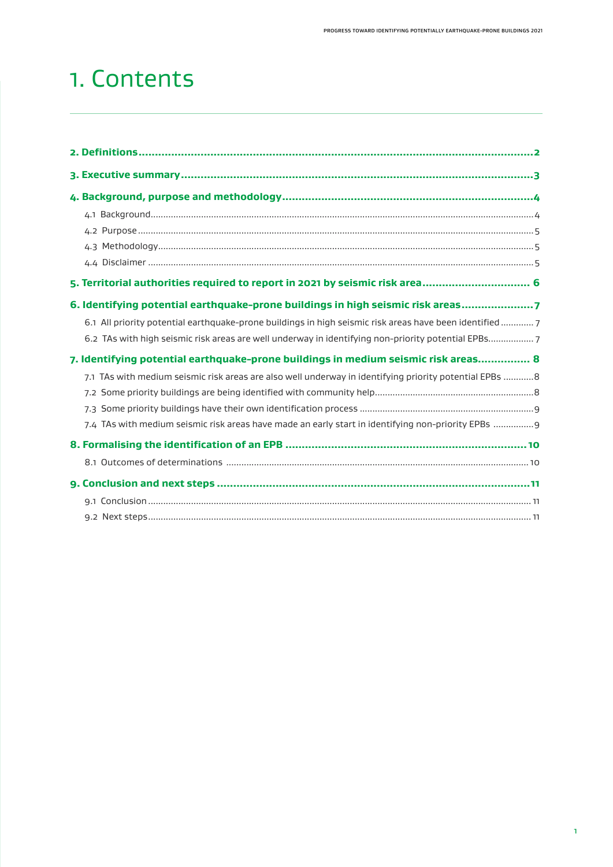### 1. Contents

| 5. Territorial authorities required to report in 2021 by seismic risk area 6                             |  |
|----------------------------------------------------------------------------------------------------------|--|
| 6. Identifying potential earthquake-prone buildings in high seismic risk areas7                          |  |
| 6.1 All priority potential earthquake-prone buildings in high seismic risk areas have been identified  7 |  |
| 6.2 TAs with high seismic risk areas are well underway in identifying non-priority potential EPBs7       |  |
| 7. Identifying potential earthquake-prone buildings in medium seismic risk areas 8                       |  |
| 7.1 TAs with medium seismic risk areas are also well underway in identifying priority potential EPBs 8   |  |
|                                                                                                          |  |
|                                                                                                          |  |
| 7.4 TAs with medium seismic risk areas have made an early start in identifying non-priority EPBs  9      |  |
|                                                                                                          |  |
|                                                                                                          |  |
|                                                                                                          |  |
|                                                                                                          |  |
|                                                                                                          |  |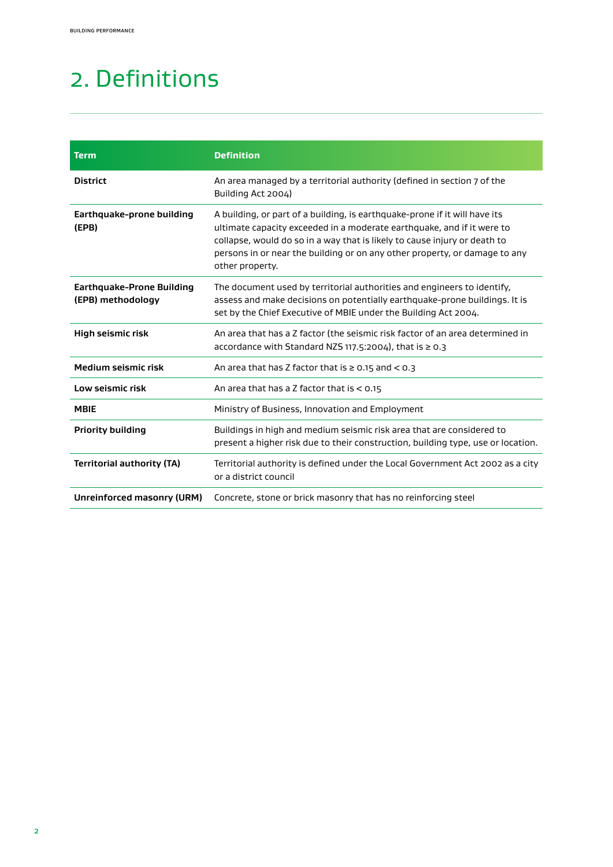## <span id="page-3-0"></span>2. Definitions

| <b>Term</b>                                           | <b>Definition</b>                                                                                                                                                                                                                                                                                                                  |
|-------------------------------------------------------|------------------------------------------------------------------------------------------------------------------------------------------------------------------------------------------------------------------------------------------------------------------------------------------------------------------------------------|
| <b>District</b>                                       | An area managed by a territorial authority (defined in section 7 of the<br>Building Act 2004)                                                                                                                                                                                                                                      |
| Earthquake-prone building<br>(EPB)                    | A building, or part of a building, is earthquake-prone if it will have its<br>ultimate capacity exceeded in a moderate earthquake, and if it were to<br>collapse, would do so in a way that is likely to cause injury or death to<br>persons in or near the building or on any other property, or damage to any<br>other property. |
| <b>Earthquake-Prone Building</b><br>(EPB) methodology | The document used by territorial authorities and engineers to identify,<br>assess and make decisions on potentially earthquake-prone buildings. It is<br>set by the Chief Executive of MBIE under the Building Act 2004.                                                                                                           |
| High seismic risk                                     | An area that has a Z factor (the seismic risk factor of an area determined in<br>accordance with Standard NZS 117.5:2004), that is $\geq 0.3$                                                                                                                                                                                      |
| Medium seismic risk                                   | An area that has Z factor that is $\geq 0.15$ and $\leq 0.3$                                                                                                                                                                                                                                                                       |
| Low seismic risk                                      | An area that has a Z factor that is $< 0.15$                                                                                                                                                                                                                                                                                       |
| <b>MBIE</b>                                           | Ministry of Business, Innovation and Employment                                                                                                                                                                                                                                                                                    |
| <b>Priority building</b>                              | Buildings in high and medium seismic risk area that are considered to<br>present a higher risk due to their construction, building type, use or location.                                                                                                                                                                          |
| <b>Territorial authority (TA)</b>                     | Territorial authority is defined under the Local Government Act 2002 as a city<br>or a district council                                                                                                                                                                                                                            |
| Unreinforced masonry (URM)                            | Concrete, stone or brick masonry that has no reinforcing steel                                                                                                                                                                                                                                                                     |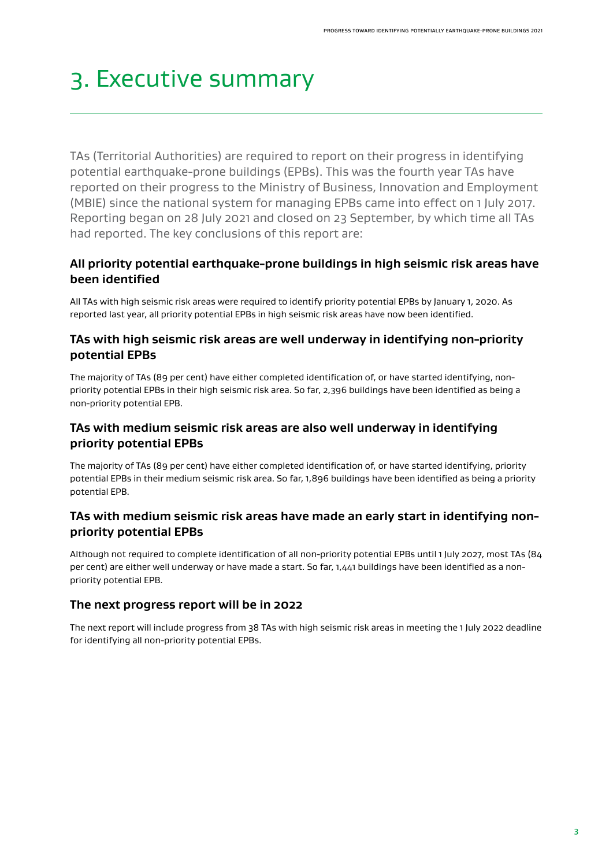## <span id="page-4-0"></span>3. Executive summary

TAs (Territorial Authorities) are required to report on their progress in identifying potential earthquake-prone buildings (EPBs). This was the fourth year TAs have reported on their progress to the Ministry of Business, Innovation and Employment (MBIE) since the national system for managing EPBs came into effect on 1 July 2017. Reporting began on 28 July 2021 and closed on 23 September, by which time all TAs had reported. The key conclusions of this report are:

### **All priority potential earthquake-prone buildings in high seismic risk areas have been identified**

All TAs with high seismic risk areas were required to identify priority potential EPBs by January 1, 2020. As reported last year, all priority potential EPBs in high seismic risk areas have now been identified.

### **TAs with high seismic risk areas are well underway in identifying non-priority potential EPBs**

The majority of TAs (89 per cent) have either completed identification of, or have started identifying, nonpriority potential EPBs in their high seismic risk area. So far, 2,396 buildings have been identified as being a non-priority potential EPB.

### **TAs with medium seismic risk areas are also well underway in identifying priority potential EPBs**

The majority of TAs (89 per cent) have either completed identification of, or have started identifying, priority potential EPBs in their medium seismic risk area. So far, 1,896 buildings have been identified as being a priority potential EPB.

### **TAs with medium seismic risk areas have made an early start in identifying nonpriority potential EPBs**

Although not required to complete identification of all non-priority potential EPBs until 1 July 2027, most TAs (84 per cent) are either well underway or have made a start. So far, 1,441 buildings have been identified as a nonpriority potential EPB.

### **The next progress report will be in 2022**

The next report will include progress from 38 TAs with high seismic risk areas in meeting the 1 July 2022 deadline for identifying all non-priority potential EPBs.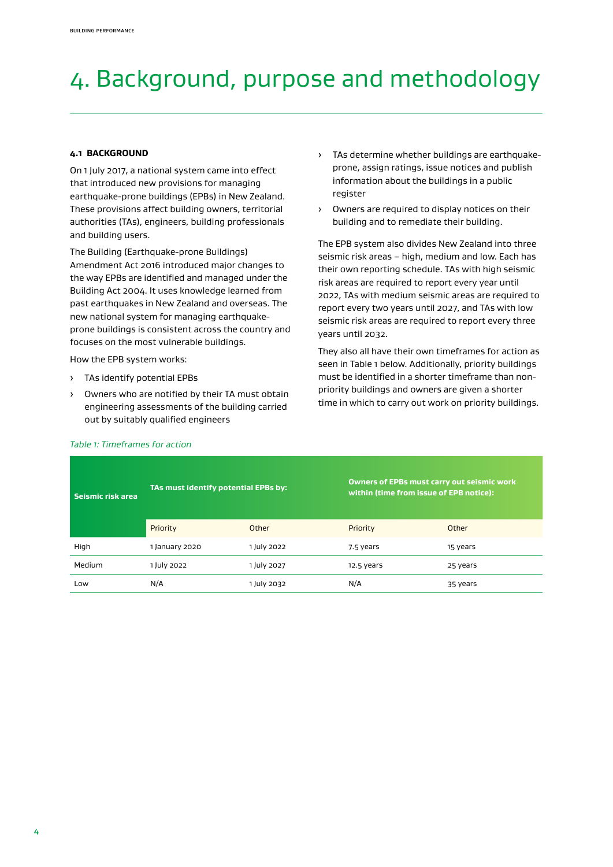## <span id="page-5-0"></span>4. Background, purpose and methodology

#### **4.1 BACKGROUND**

On 1 July 2017, a national system came into effect that introduced new provisions for managing earthquake-prone buildings (EPBs) in New Zealand. These provisions affect building owners, territorial authorities (TAs), engineers, building professionals and building users.

The Building (Earthquake-prone Buildings) Amendment Act 2016 introduced major changes to the way EPBs are identified and managed under the Building Act 2004. It uses knowledge learned from past earthquakes in New Zealand and overseas. The new national system for managing earthquakeprone buildings is consistent across the country and focuses on the most vulnerable buildings.

How the EPB system works:

- › TAs identify potential EPBs
- › Owners who are notified by their TA must obtain engineering assessments of the building carried out by suitably qualified engineers
- › TAs determine whether buildings are earthquakeprone, assign ratings, issue notices and publish information about the buildings in a public register
- › Owners are required to display notices on their building and to remediate their building.

The EPB system also divides New Zealand into three seismic risk areas – high, medium and low. Each has their own reporting schedule. TAs with high seismic risk areas are required to report every year until 2022, TAs with medium seismic areas are required to report every two years until 2027, and TAs with low seismic risk areas are required to report every three years until 2032.

They also all have their own timeframes for action as seen in Table 1 below. Additionally, priority buildings must be identified in a shorter timeframe than nonpriority buildings and owners are given a shorter time in which to carry out work on priority buildings.

| Seismic risk area | TAs must identify potential EPBs by: |             | <b>Owners of EPBs must carry out seismic work</b><br>within (time from issue of EPB notice): |          |
|-------------------|--------------------------------------|-------------|----------------------------------------------------------------------------------------------|----------|
|                   | Priority                             | Other       | Priority                                                                                     | Other    |
| High              | 1 January 2020                       | 1 July 2022 | 7.5 years                                                                                    | 15 years |
| Medium            | 1 July 2022                          | 1 July 2027 | 12.5 years                                                                                   | 25 years |
| Low               | N/A                                  | I July 2032 | N/A                                                                                          | 35 years |

#### *Table 1: Timeframes for action*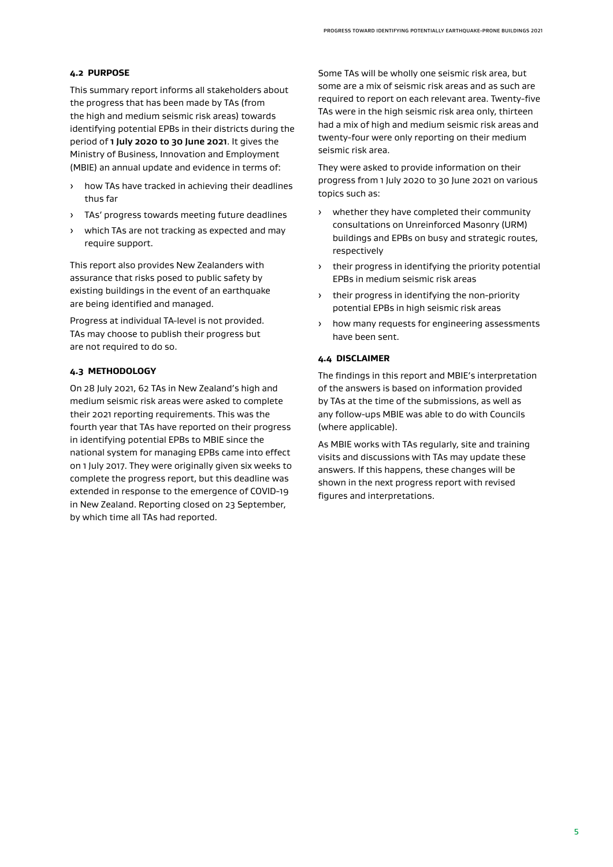#### <span id="page-6-0"></span>**4.2 PURPOSE**

This summary report informs all stakeholders about the progress that has been made by TAs (from the high and medium seismic risk areas) towards identifying potential EPBs in their districts during the period of **1 July 2020 to 30 June 2021**. It gives the Ministry of Business, Innovation and Employment (MBIE) an annual update and evidence in terms of:

- › how TAs have tracked in achieving their deadlines thus far
- › TAs' progress towards meeting future deadlines
- which TAs are not tracking as expected and may require support.

This report also provides New Zealanders with assurance that risks posed to public safety by existing buildings in the event of an earthquake are being identified and managed.

Progress at individual TA-level is not provided. TAs may choose to publish their progress but are not required to do so.

#### **4.3 METHODOLOGY**

On 28 July 2021, 62 TAs in New Zealand's high and medium seismic risk areas were asked to complete their 2021 reporting requirements. This was the fourth year that TAs have reported on their progress in identifying potential EPBs to MBIE since the national system for managing EPBs came into effect on 1 July 2017. They were originally given six weeks to complete the progress report, but this deadline was extended in response to the emergence of COVID-19 in New Zealand. Reporting closed on 23 September, by which time all TAs had reported.

Some TAs will be wholly one seismic risk area, but some are a mix of seismic risk areas and as such are required to report on each relevant area. Twenty-five TAs were in the high seismic risk area only, thirteen had a mix of high and medium seismic risk areas and twenty-four were only reporting on their medium seismic risk area.

They were asked to provide information on their progress from 1 July 2020 to 30 June 2021 on various topics such as:

- › whether they have completed their community consultations on Unreinforced Masonry (URM) buildings and EPBs on busy and strategic routes, respectively
- › their progress in identifying the priority potential EPBs in medium seismic risk areas
- › their progress in identifying the non-priority potential EPBs in high seismic risk areas
- › how many requests for engineering assessments have been sent.

#### **4.4 DISCLAIMER**

The findings in this report and MBIE's interpretation of the answers is based on information provided by TAs at the time of the submissions, as well as any follow-ups MBIE was able to do with Councils (where applicable).

As MBIE works with TAs regularly, site and training visits and discussions with TAs may update these answers. If this happens, these changes will be shown in the next progress report with revised figures and interpretations.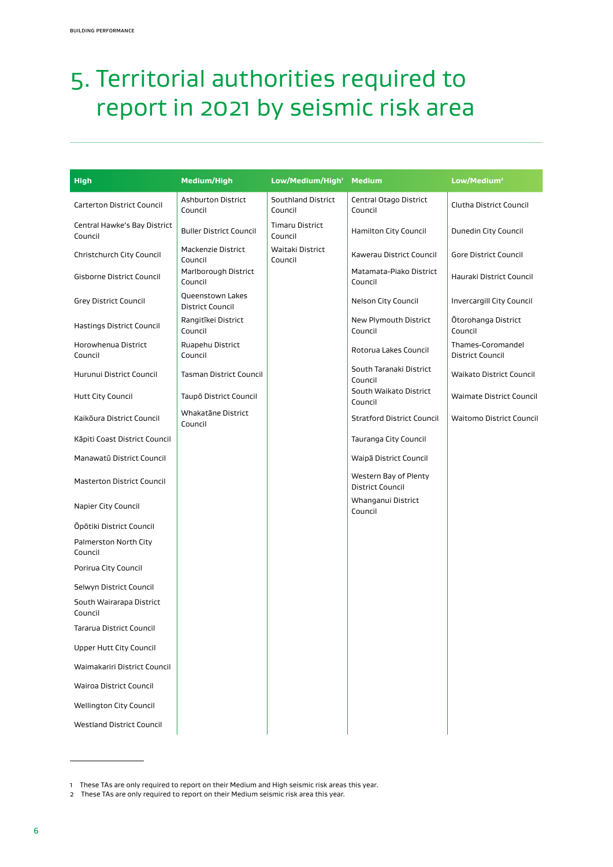## <span id="page-7-0"></span>5. Territorial authorities required to report in 2021 by seismic risk area

| <b>High</b>                             | <b>Medium/High</b>                          | Low/Medium/High <sup>1</sup>      | <b>Medium</b>                                    | Low/Medium <sup>2</sup>                      |
|-----------------------------------------|---------------------------------------------|-----------------------------------|--------------------------------------------------|----------------------------------------------|
| <b>Carterton District Council</b>       | <b>Ashburton District</b><br>Council        | Southland District<br>Council     | Central Otago District<br>Council                | Clutha District Council                      |
| Central Hawke's Bay District<br>Council | <b>Buller District Council</b>              | <b>Timaru District</b><br>Council | Hamilton City Council                            | Dunedin City Council                         |
| Christchurch City Council               | Mackenzie District<br>Council               | Waitaki District<br>Council       | Kawerau District Council                         | Gore District Council                        |
| Gisborne District Council               | Marlborough District<br>Council             |                                   | Matamata-Piako District<br>Council               | Hauraki District Council                     |
| <b>Grey District Council</b>            | Queenstown Lakes<br><b>District Council</b> |                                   | Nelson City Council                              | Invercargill City Council                    |
| Hastings District Council               | Rangitīkei District<br>Council              |                                   | New Plymouth District<br>Council                 | Ōtorohanga District<br>Council               |
| Horowhenua District<br>Council          | Ruapehu District<br>Council                 |                                   | Rotorua Lakes Council                            | Thames-Coromandel<br><b>District Council</b> |
| Hurunui District Council                | <b>Tasman District Council</b>              |                                   | South Taranaki District<br>Council               | <b>Waikato District Council</b>              |
| <b>Hutt City Council</b>                | Taupō District Council                      |                                   | South Waikato District<br>Council                | <b>Waimate District Council</b>              |
| Kaikōura District Council               | Whakatāne District<br>Council               |                                   | <b>Stratford District Council</b>                | <b>Waitomo District Council</b>              |
| Kāpiti Coast District Council           |                                             |                                   | Tauranga City Council                            |                                              |
| Manawatū District Council               |                                             |                                   | Waipā District Council                           |                                              |
| <b>Masterton District Council</b>       |                                             |                                   | Western Bay of Plenty<br><b>District Council</b> |                                              |
| Napier City Council                     |                                             |                                   | Whanganui District<br>Council                    |                                              |
| Öpötiki District Council                |                                             |                                   |                                                  |                                              |
| Palmerston North City<br>Council        |                                             |                                   |                                                  |                                              |
| Porirua City Council                    |                                             |                                   |                                                  |                                              |
| Selwyn District Council                 |                                             |                                   |                                                  |                                              |
| South Wairarapa District<br>Council     |                                             |                                   |                                                  |                                              |
| Tararua District Council                |                                             |                                   |                                                  |                                              |
| Upper Hutt City Council                 |                                             |                                   |                                                  |                                              |
| Waimakariri District Council            |                                             |                                   |                                                  |                                              |
| Wairoa District Council                 |                                             |                                   |                                                  |                                              |
| Wellington City Council                 |                                             |                                   |                                                  |                                              |
| <b>Westland District Council</b>        |                                             |                                   |                                                  |                                              |

<sup>1</sup> These TAs are only required to report on their Medium and High seismic risk areas this year.

<sup>2</sup> These TAs are only required to report on their Medium seismic risk area this year.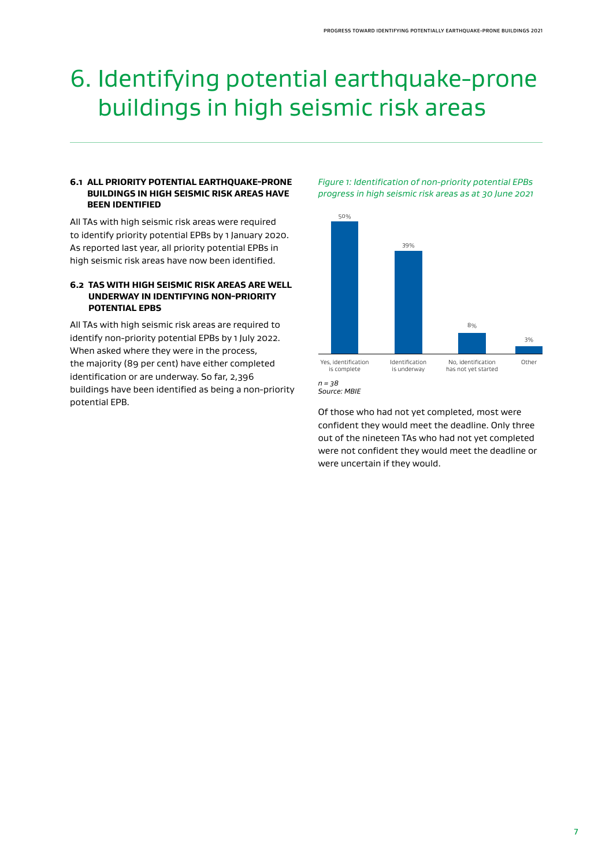### <span id="page-8-0"></span>6. Identifying potential earthquake-prone buildings in high seismic risk areas

#### **6.1 ALL PRIORITY POTENTIAL EARTHQUAKE-PRONE BUILDINGS IN HIGH SEISMIC RISK AREAS HAVE BEEN IDENTIFIED**

All TAs with high seismic risk areas were required to identify priority potential EPBs by 1 January 2020. As reported last year, all priority potential EPBs in high seismic risk areas have now been identified.

#### **6.2 TAS WITH HIGH SEISMIC RISK AREAS ARE WELL UNDERWAY IN IDENTIFYING NON-PRIORITY POTENTIAL EPBS**

All TAs with high seismic risk areas are required to identify non-priority potential EPBs by 1 July 2022. When asked where they were in the process, the majority (89 per cent) have either completed identification or are underway. So far, 2,396 buildings have been identified as being a non-priority potential EPB.

*Figure 1: Identification of non-priority potential EPBs progress in high seismic risk areas as at 30 June 2021*





Of those who had not yet completed, most were confident they would meet the deadline. Only three out of the nineteen TAs who had not yet completed were not confident they would meet the deadline or were uncertain if they would.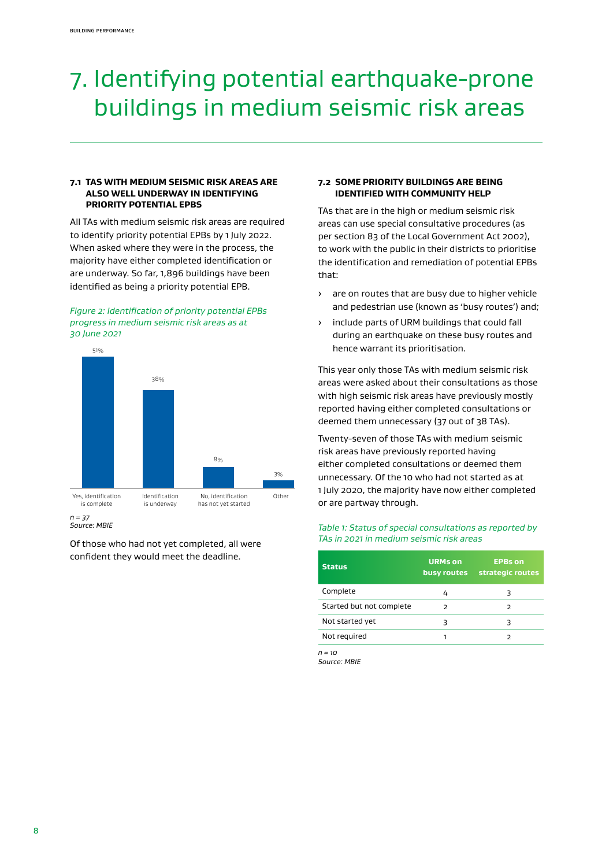## <span id="page-9-0"></span>7. Identifying potential earthquake-prone buildings in medium seismic risk areas

#### **7.1 TAS WITH MEDIUM SEISMIC RISK AREAS ARE ALSO WELL UNDERWAY IN IDENTIFYING PRIORITY POTENTIAL EPBS**

All TAs with medium seismic risk areas are required to identify priority potential EPBs by 1 July 2022. When asked where they were in the process, the majority have either completed identification or are underway. So far, 1,896 buildings have been identified as being a priority potential EPB.

*Figure 2: Identification of priority potential EPBs progress in medium seismic risk areas as at 30 June 2021*



*Source: MBIE*

Of those who had not yet completed, all were confident they would meet the deadline.

#### **7.2 SOME PRIORITY BUILDINGS ARE BEING IDENTIFIED WITH COMMUNITY HELP**

TAs that are in the high or medium seismic risk areas can use special consultative procedures (as per section 83 of the Local Government Act 2002), to work with the public in their districts to prioritise the identification and remediation of potential EPBs that:

- › are on routes that are busy due to higher vehicle and pedestrian use (known as 'busy routes') and;
- › include parts of URM buildings that could fall during an earthquake on these busy routes and hence warrant its prioritisation.

This year only those TAs with medium seismic risk areas were asked about their consultations as those with high seismic risk areas have previously mostly reported having either completed consultations or deemed them unnecessary (37 out of 38 TAs).

Twenty-seven of those TAs with medium seismic risk areas have previously reported having either completed consultations or deemed them unnecessary. Of the 10 who had not started as at 1 July 2020, the majority have now either completed or are partway through.

#### *Table 1: Status of special consultations as reported by TAs in 2021 in medium seismic risk areas*

| <b>URMs on</b><br>busy routes | <b>EPBs on</b><br>strategic routes |
|-------------------------------|------------------------------------|
| 4                             | З                                  |
| っ                             | $\mathcal{P}$                      |
| З                             |                                    |
|                               | ⊃                                  |
|                               |                                    |

*n = 10*

*Source: MBIE*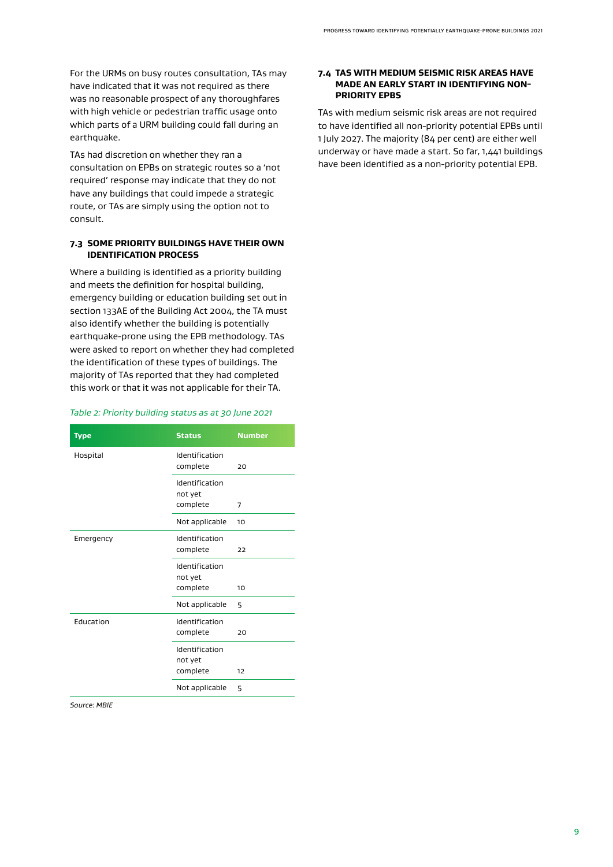<span id="page-10-0"></span>For the URMs on busy routes consultation, TAs may have indicated that it was not required as there was no reasonable prospect of any thoroughfares with high vehicle or pedestrian traffic usage onto which parts of a URM building could fall during an earthquake.

TAs had discretion on whether they ran a consultation on EPBs on strategic routes so a 'not required' response may indicate that they do not have any buildings that could impede a strategic route, or TAs are simply using the option not to consult.

#### **7.3 SOME PRIORITY BUILDINGS HAVE THEIR OWN IDENTIFICATION PROCESS**

Where a building is identified as a priority building and meets the definition for hospital building, emergency building or education building set out in section 133AE of the Building Act 2004, the TA must also identify whether the building is potentially earthquake-prone using the EPB methodology. TAs were asked to report on whether they had completed the identification of these types of buildings. The majority of TAs reported that they had completed this work or that it was not applicable for their TA.

#### *Table 2: Priority building status as at 30 June 2021*

| Type      | <b>Status</b>              | <b>Number</b> |
|-----------|----------------------------|---------------|
| Hospital  | Identification<br>complete | 20            |
|           | Identification<br>not yet  |               |
|           | complete                   | 7             |
|           | Not applicable             | 10            |
| Emergency | Identification<br>complete | 22            |
|           | Identification<br>not yet  |               |
|           | complete                   | 10            |
|           | Not applicable             | 5             |
| Education | Identification<br>complete | 20            |
|           |                            |               |
|           | Identification<br>not yet  |               |
|           | complete                   | 12            |
|           | Not applicable             | 5             |

*Source: MBIE*

#### **7.4 TAS WITH MEDIUM SEISMIC RISK AREAS HAVE MADE AN EARLY START IN IDENTIFYING NON-PRIORITY EPBS**

TAs with medium seismic risk areas are not required to have identified all non-priority potential EPBs until 1 July 2027. The majority (84 per cent) are either well underway or have made a start. So far, 1,441 buildings have been identified as a non-priority potential EPB.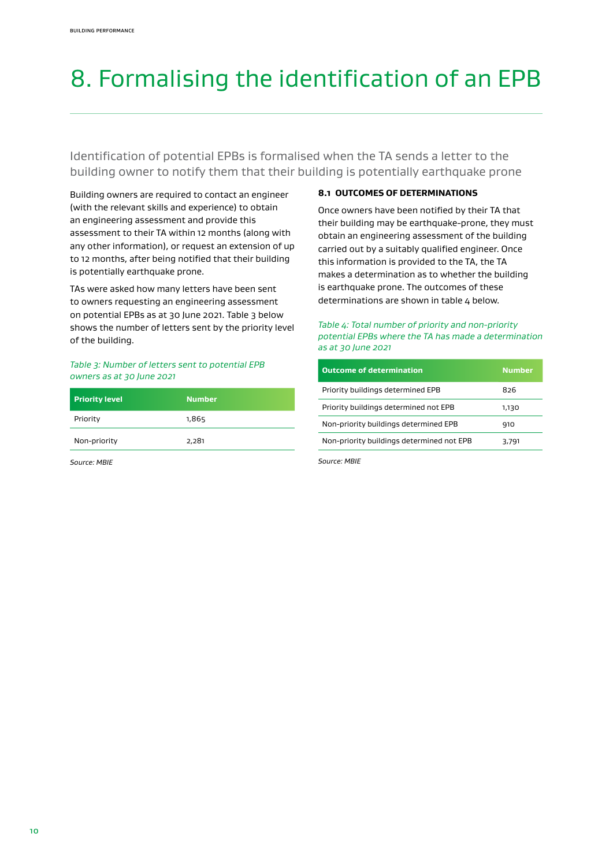## <span id="page-11-0"></span>8. Formalising the identification of an EPB

Identification of potential EPBs is formalised when the TA sends a letter to the building owner to notify them that their building is potentially earthquake prone

Building owners are required to contact an engineer (with the relevant skills and experience) to obtain an engineering assessment and provide this assessment to their TA within 12 months (along with any other information), or request an extension of up to 12 months, after being notified that their building is potentially earthquake prone.

TAs were asked how many letters have been sent to owners requesting an engineering assessment on potential EPBs as at 30 June 2021. Table 3 below shows the number of letters sent by the priority level of the building.

#### *Table 3: Number of letters sent to potential EPB owners as at 30 June 2021*

| <b>Priority level</b> | <b>Number</b> |
|-----------------------|---------------|
| Priority              | 1,865         |
| Non-priority          | 2,281         |

*Source: MBIE*

#### **8.1 OUTCOMES OF DETERMINATIONS**

Once owners have been notified by their TA that their building may be earthquake-prone, they must obtain an engineering assessment of the building carried out by a suitably qualified engineer. Once this information is provided to the TA, the TA makes a determination as to whether the building is earthquake prone. The outcomes of these determinations are shown in table 4 below.

#### *Table 4: Total number of priority and non-priority potential EPBs where the TA has made a determination as at 30 June 2021*

| <b>Outcome of determination</b>           | <b>Number</b> |
|-------------------------------------------|---------------|
| Priority buildings determined EPB         | 826           |
| Priority buildings determined not EPB     | 1,130         |
| Non-priority buildings determined EPB     | 910           |
| Non-priority buildings determined not EPB | 3,791         |

*Source: MBIE*